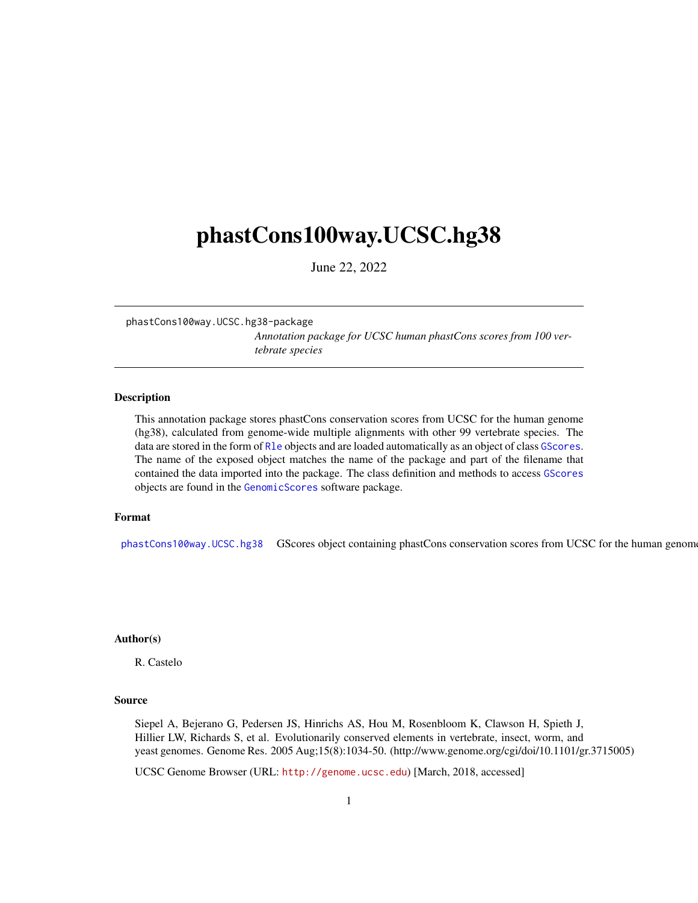# <span id="page-0-2"></span><span id="page-0-1"></span>phastCons100way.UCSC.hg38

June 22, 2022

phastCons100way.UCSC.hg38-package

*Annotation package for UCSC human phastCons scores from 100 vertebrate species*

#### <span id="page-0-0"></span>Description

This annotation package stores phastCons conservation scores from UCSC for the human genome (hg38), calculated from genome-wide multiple alignments with other 99 vertebrate species. The data are stored in the form of Rle objects and are loaded automatically as an object of class GScores. The name of the exposed object matches the name of the package and part of the filename that contained the data imported into the package. The class definition and methods to access GScores objects are found in the GenomicScores software package.

#### Format

[phastCons100way.UCSC.hg38](#page-0-0) GScores object containing phastCons conservation scores from UCSC for the human genom

## Author(s)

R. Castelo

#### Source

Siepel A, Bejerano G, Pedersen JS, Hinrichs AS, Hou M, Rosenbloom K, Clawson H, Spieth J, Hillier LW, Richards S, et al. Evolutionarily conserved elements in vertebrate, insect, worm, and yeast genomes. Genome Res. 2005 Aug;15(8):1034-50. (http://www.genome.org/cgi/doi/10.1101/gr.3715005)

UCSC Genome Browser (URL: <http://genome.ucsc.edu>) [March, 2018, accessed]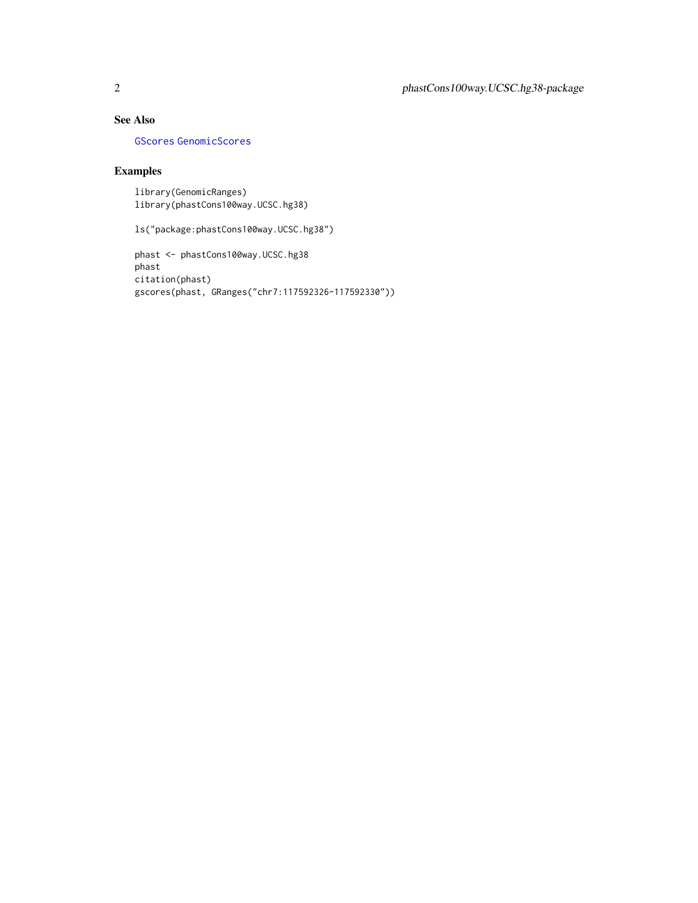# <span id="page-1-0"></span>See Also

[GScores](#page-0-1) [GenomicScores](#page-0-1)

### Examples

library(GenomicRanges) library(phastCons100way.UCSC.hg38)

ls("package:phastCons100way.UCSC.hg38")

```
phast <- phastCons100way.UCSC.hg38
phast
citation(phast)
gscores(phast, GRanges("chr7:117592326-117592330"))
```